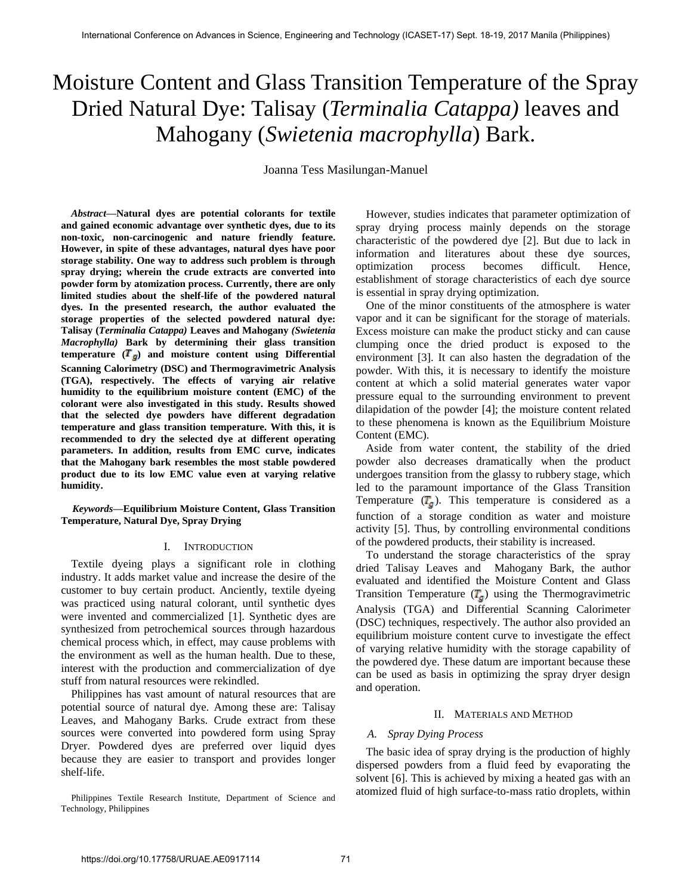# Moisture Content and Glass Transition Temperature of the Spray Dried Natural Dye: Talisay (*Terminalia Catappa)* leaves and Mahogany (*Swietenia macrophylla*) Bark.

Joanna Tess Masilungan-Manuel

*Abstract***—Natural dyes are potential colorants for textile and gained economic advantage over synthetic dyes, due to its non-toxic, non-carcinogenic and nature friendly feature. However, in spite of these advantages, natural dyes have poor storage stability. One way to address such problem is through spray drying; wherein the crude extracts are converted into powder form by atomization process. Currently, there are only limited studies about the shelf-life of the powdered natural dyes. In the presented research, the author evaluated the storage properties of the selected powdered natural dye: Talisay (***Terminalia Catappa)* **Leaves and Mahogany** *(Swietenia Macrophylla)* **Bark by determining their glass transition temperature**  $(\mathbf{T}_{g})$  **and moisture content using Differential Scanning Calorimetry (DSC) and Thermogravimetric Analysis (TGA), respectively. The effects of varying air relative humidity to the equilibrium moisture content (EMC) of the colorant were also investigated in this study. Results showed that the selected dye powders have different degradation temperature and glass transition temperature. With this, it is recommended to dry the selected dye at different operating parameters. In addition, results from EMC curve, indicates that the Mahogany bark resembles the most stable powdered product due to its low EMC value even at varying relative humidity.** 

*Keywords***—Equilibrium Moisture Content, Glass Transition Temperature, Natural Dye, Spray Drying**

### I. INTRODUCTION

Textile dyeing plays a significant role in clothing industry. It adds market value and increase the desire of the customer to buy certain product. Anciently, textile dyeing was practiced using natural colorant, until synthetic dyes were invented and commercialized [1]. Synthetic dyes are synthesized from petrochemical sources through hazardous chemical process which, in effect, may cause problems with the environment as well as the human health. Due to these, interest with the production and commercialization of dye stuff from natural resources were rekindled.

Philippines has vast amount of natural resources that are potential source of natural dye. Among these are: Talisay Leaves, and Mahogany Barks. Crude extract from these sources were converted into powdered form using Spray Dryer. Powdered dyes are preferred over liquid dyes because they are easier to transport and provides longer shelf-life.

However, studies indicates that parameter optimization of spray drying process mainly depends on the storage characteristic of the powdered dye [2]. But due to lack in information and literatures about these dye sources, optimization process becomes difficult. Hence, establishment of storage characteristics of each dye source is essential in spray drying optimization.

One of the minor constituents of the atmosphere is water vapor and it can be significant for the storage of materials. Excess moisture can make the product sticky and can cause clumping once the dried product is exposed to the environment [3]. It can also hasten the degradation of the powder. With this, it is necessary to identify the moisture content at which a solid material generates water vapor pressure equal to the surrounding environment to prevent dilapidation of the powder [4]; the moisture content related to these phenomena is known as the Equilibrium Moisture Content (EMC).

Aside from water content, the stability of the dried powder also decreases dramatically when the product undergoes transition from the glassy to rubbery stage, which led to the paramount importance of the Glass Transition Temperature  $(T<sub>g</sub>)$ . This temperature is considered as a function of a storage condition as water and moisture activity [5]. Thus, by controlling environmental conditions of the powdered products, their stability is increased.

To understand the storage characteristics of the spray dried Talisay Leaves and Mahogany Bark, the author evaluated and identified the Moisture Content and Glass Transition Temperature  $(T<sub>g</sub>)$  using the Thermogravimetric Analysis (TGA) and Differential Scanning Calorimeter (DSC) techniques, respectively. The author also provided an equilibrium moisture content curve to investigate the effect of varying relative humidity with the storage capability of the powdered dye. These datum are important because these can be used as basis in optimizing the spray dryer design and operation.

# II. MATERIALS AND METHOD

# *A. Spray Dying Process*

The basic idea of spray drying is the production of highly dispersed powders from a fluid feed by evaporating the solvent [6]. This is achieved by mixing a heated gas with an atomized fluid of high surface-to-mass ratio droplets, within

Philippines Textile Research Institute, Department of Science and Technology, Philippines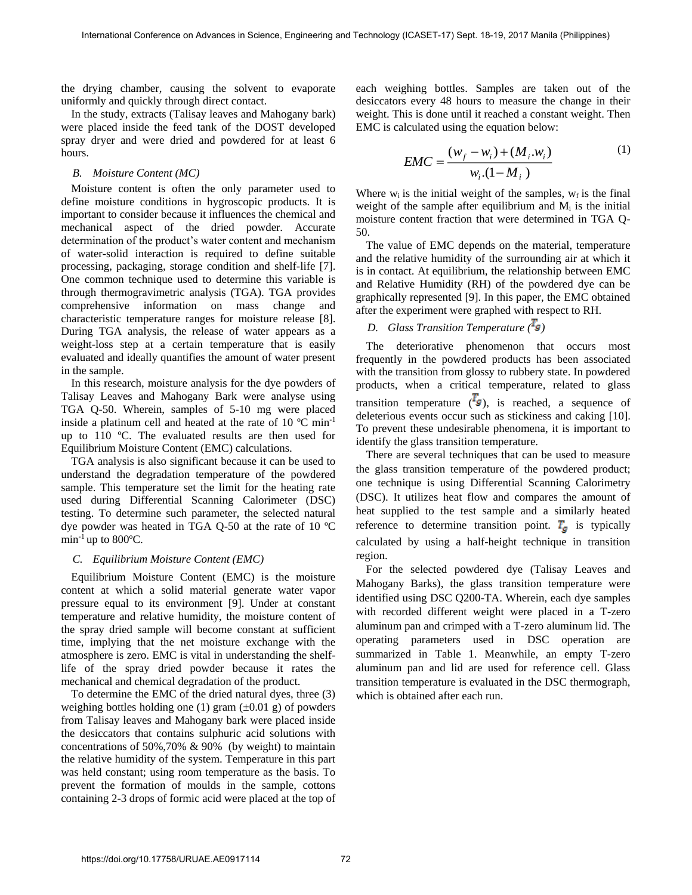the drying chamber, causing the solvent to evaporate uniformly and quickly through direct contact.

In the study, extracts (Talisay leaves and Mahogany bark) were placed inside the feed tank of the DOST developed spray dryer and were dried and powdered for at least 6 hours.

# *B. Moisture Content (MC)*

Moisture content is often the only parameter used to define moisture conditions in hygroscopic products. It is important to consider because it influences the chemical and mechanical aspect of the dried powder. Accurate determination of the product's water content and mechanism of water-solid interaction is required to define suitable processing, packaging, storage condition and shelf-life [7]. One common technique used to determine this variable is through thermogravimetric analysis (TGA). TGA provides comprehensive information on mass change and characteristic temperature ranges for moisture release [8]. During TGA analysis, the release of water appears as a weight-loss step at a certain temperature that is easily evaluated and ideally quantifies the amount of water present in the sample.

In this research, moisture analysis for the dye powders of Talisay Leaves and Mahogany Bark were analyse using TGA Q-50. Wherein, samples of 5-10 mg were placed inside a platinum cell and heated at the rate of 10  $^{\circ}$ C min<sup>-1</sup> up to 110 ºC. The evaluated results are then used for Equilibrium Moisture Content (EMC) calculations.

TGA analysis is also significant because it can be used to understand the degradation temperature of the powdered sample. This temperature set the limit for the heating rate used during Differential Scanning Calorimeter (DSC) testing. To determine such parameter, the selected natural dye powder was heated in TGA Q-50 at the rate of 10 ºC min<sup>-1</sup> up to 800 $\degree$ C.

# *C. Equilibrium Moisture Content (EMC)*

Equilibrium Moisture Content (EMC) is the moisture content at which a solid material generate water vapor pressure equal to its environment [9]. Under at constant temperature and relative humidity, the moisture content of the spray dried sample will become constant at sufficient time, implying that the net moisture exchange with the atmosphere is zero. EMC is vital in understanding the shelflife of the spray dried powder because it rates the mechanical and chemical degradation of the product.

To determine the EMC of the dried natural dyes, three (3) weighing bottles holding one (1) gram  $(\pm 0.01 \text{ g})$  of powders from Talisay leaves and Mahogany bark were placed inside the desiccators that contains sulphuric acid solutions with concentrations of 50%,70% & 90% (by weight) to maintain the relative humidity of the system. Temperature in this part was held constant; using room temperature as the basis. To prevent the formation of moulds in the sample, cottons containing 2-3 drops of formic acid were placed at the top of each weighing bottles. Samples are taken out of the desiccators every 48 hours to measure the change in their weight. This is done until it reached a constant weight. Then EMC is calculated using the equation below:

$$
EMC = \frac{(w_f - w_i) + (M_i w_i)}{w_i (1 - M_i)}
$$
(1)

Where  $w_i$  is the initial weight of the samples,  $w_f$  is the final weight of the sample after equilibrium and  $M<sub>i</sub>$  is the initial moisture content fraction that were determined in TGA Q-50.

The value of EMC depends on the material, temperature and the relative humidity of the surrounding air at which it is in contact. At equilibrium, the relationship between EMC and Relative Humidity (RH) of the powdered dye can be graphically represented [9]. In this paper, the EMC obtained after the experiment were graphed with respect to RH.

# *D. Glass Transition Temperature ( )*

The deteriorative phenomenon that occurs most frequently in the powdered products has been associated with the transition from glossy to rubbery state. In powdered products, when a critical temperature, related to glass transition temperature  $(\mathbf{I}_g)$ , is reached, a sequence of deleterious events occur such as stickiness and caking [10]. To prevent these undesirable phenomena, it is important to identify the glass transition temperature.

There are several techniques that can be used to measure the glass transition temperature of the powdered product; one technique is using Differential Scanning Calorimetry (DSC). It utilizes heat flow and compares the amount of heat supplied to the test sample and a similarly heated reference to determine transition point.  $T<sub>g</sub>$  is typically calculated by using a half-height technique in transition region.

For the selected powdered dye (Talisay Leaves and Mahogany Barks), the glass transition temperature were identified using DSC Q200-TA. Wherein, each dye samples with recorded different weight were placed in a T-zero aluminum pan and crimped with a T-zero aluminum lid. The operating parameters used in DSC operation are summarized in Table 1. Meanwhile, an empty T-zero aluminum pan and lid are used for reference cell. Glass transition temperature is evaluated in the DSC thermograph, which is obtained after each run.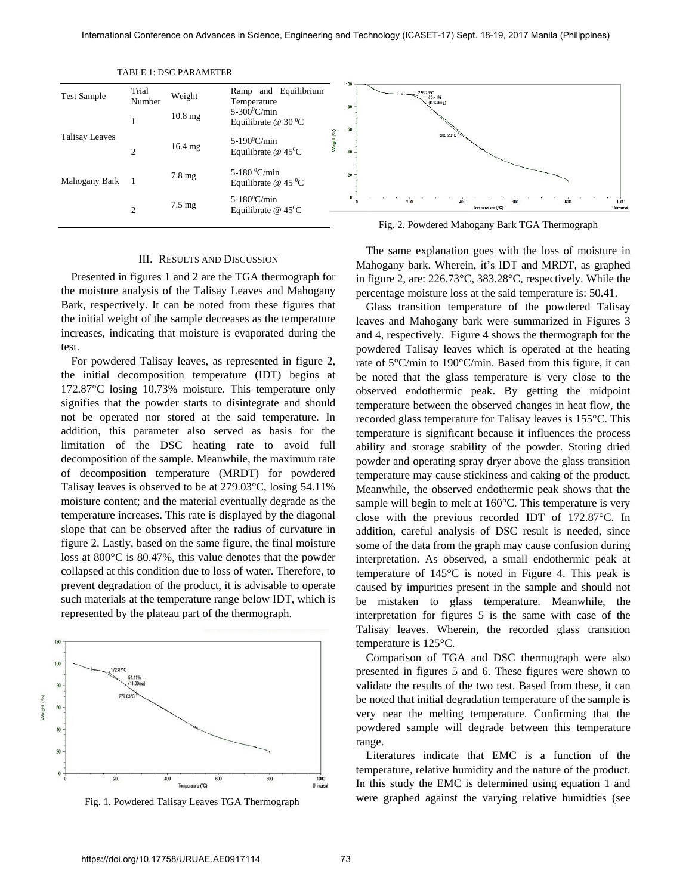| <b>Test Sample</b> | Trial<br>Number | Weight            | Ramp and Equilibrium<br>Temperature                           |   | 100<br>80 | 226.73°C<br>50.41%<br>(8.103mg)                |                  |     |     |                   |
|--------------------|-----------------|-------------------|---------------------------------------------------------------|---|-----------|------------------------------------------------|------------------|-----|-----|-------------------|
| Talisay Leaves     |                 | $10.8 \text{ mg}$ | $5-300^{\circ}$ C/min<br>Equilibrate $@$ 30 <sup>o</sup> C    | 2 | 60        | 383.28°C                                       |                  |     |     |                   |
|                    | $\bigcirc$      | $16.4 \text{ mg}$ | $5-190^0$ C/min<br>Equilibrate $@$ 45 <sup>o</sup> C          |   | 40        |                                                |                  |     |     |                   |
| Mahogany Bark      |                 | $7.8 \text{ mg}$  | 5-180 $\mathrm{^0C/min}$<br>Equilibrate $@$ 45 <sup>o</sup> C |   | 20        |                                                |                  |     |     |                   |
|                    | $\bigcirc$      | $7.5 \text{ mg}$  | $5-180^0$ C/min<br>Equilibrate $@$ 45 <sup>o</sup> C          |   |           | 200                                            | Temperature (°C) | 600 | 800 | 1000<br>Universal |
|                    |                 |                   |                                                               |   |           | Fig. 2. Powdered Mahogany Bark TGA Thermograph |                  |     |     |                   |

TABLE 1: DSC PARAMETER

# III. RESULTS AND DISCUSSION

Presented in figures 1 and 2 are the TGA thermograph for the moisture analysis of the Talisay Leaves and Mahogany Bark, respectively. It can be noted from these figures that the initial weight of the sample decreases as the temperature increases, indicating that moisture is evaporated during the test.

For powdered Talisay leaves, as represented in figure 2, the initial decomposition temperature (IDT) begins at 172.87°C losing 10.73% moisture. This temperature only signifies that the powder starts to disintegrate and should not be operated nor stored at the said temperature. In addition, this parameter also served as basis for the limitation of the DSC heating rate to avoid full decomposition of the sample. Meanwhile, the maximum rate of decomposition temperature (MRDT) for powdered Talisay leaves is observed to be at 279.03°C, losing 54.11% moisture content; and the material eventually degrade as the temperature increases. This rate is displayed by the diagonal slope that can be observed after the radius of curvature in figure 2. Lastly, based on the same figure, the final moisture loss at 800°C is 80.47%, this value denotes that the powder collapsed at this condition due to loss of water. Therefore, to prevent degradation of the product, it is advisable to operate such materials at the temperature range below IDT, which is represented by the plateau part of the thermograph.



Fig. 1. Powdered Talisay Leaves TGA Thermograph

Fig. 2. Powdered Mahogany Bark TGA Thermograph

The same explanation goes with the loss of moisture in Mahogany bark. Wherein, it's IDT and MRDT, as graphed in figure 2, are: 226.73°C, 383.28°C, respectively. While the percentage moisture loss at the said temperature is: 50.41.

Glass transition temperature of the powdered Talisay leaves and Mahogany bark were summarized in Figures 3 and 4, respectively. Figure 4 shows the thermograph for the powdered Talisay leaves which is operated at the heating rate of 5°C/min to 190°C/min. Based from this figure, it can be noted that the glass temperature is very close to the observed endothermic peak. By getting the midpoint temperature between the observed changes in heat flow, the recorded glass temperature for Talisay leaves is 155°C. This temperature is significant because it influences the process ability and storage stability of the powder. Storing dried powder and operating spray dryer above the glass transition temperature may cause stickiness and caking of the product. Meanwhile, the observed endothermic peak shows that the sample will begin to melt at 160°C. This temperature is very close with the previous recorded IDT of 172.87°C. In addition, careful analysis of DSC result is needed, since some of the data from the graph may cause confusion during interpretation. As observed, a small endothermic peak at temperature of 145°C is noted in Figure 4. This peak is caused by impurities present in the sample and should not be mistaken to glass temperature. Meanwhile, the interpretation for figures 5 is the same with case of the Talisay leaves. Wherein, the recorded glass transition temperature is 125°C.

Comparison of TGA and DSC thermograph were also presented in figures 5 and 6. These figures were shown to validate the results of the two test. Based from these, it can be noted that initial degradation temperature of the sample is very near the melting temperature. Confirming that the powdered sample will degrade between this temperature range.

Literatures indicate that EMC is a function of the temperature, relative humidity and the nature of the product. In this study the EMC is determined using equation 1 and were graphed against the varying relative humidties (see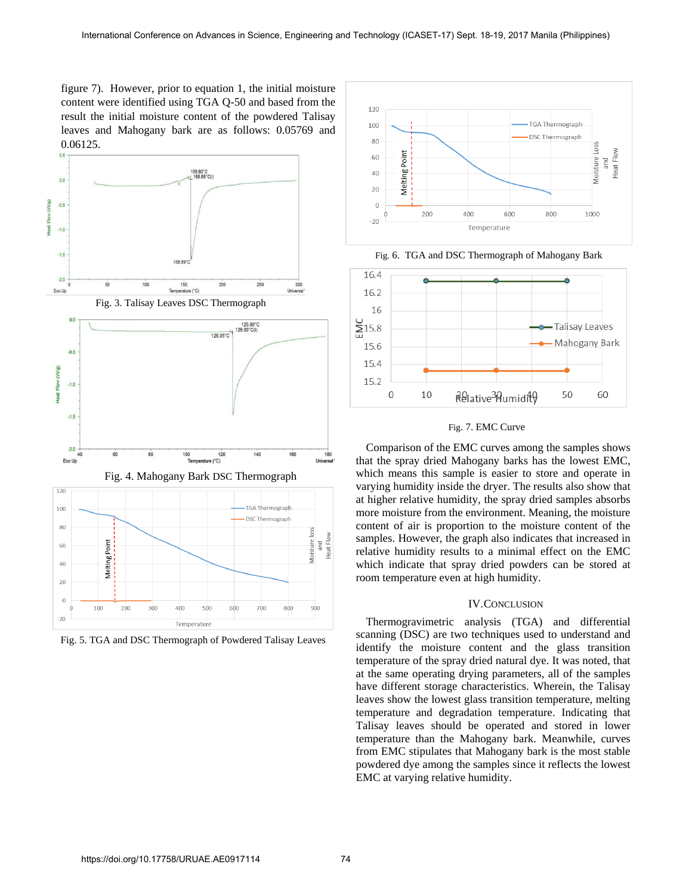figure 7). However, prior to equation 1, the initial moisture content were identified using TGA Q-50 and based from the result the initial moisture content of the powdered Talisay leaves and Mahogany bark are as follows: 0.05769 and  $0.06125.$ 



Fig. 5. TGA and DSC Thermograph of Powdered Talisay Leaves





# Fig. 7. EMC Curve

Comparison of the EMC curves among the samples shows that the spray dried Mahogany barks has the lowest EMC, which means this sample is easier to store and operate in varying humidity inside the dryer. The results also show that at higher relative humidity, the spray dried samples absorbs more moisture from the environment. Meaning, the moisture content of air is proportion to the moisture content of the samples. However, the graph also indicates that increased in relative humidity results to a minimal effect on the EMC which indicate that spray dried powders can be stored at room temperature even at high humidity.

# IV.CONCLUSION

Thermogravimetric analysis (TGA) and differential scanning (DSC) are two techniques used to understand and identify the moisture content and the glass transition temperature of the spray dried natural dye. It was noted, that at the same operating drying parameters, all of the samples have different storage characteristics. Wherein, the Talisay leaves show the lowest glass transition temperature, melting temperature and degradation temperature. Indicating that Talisay leaves should be operated and stored in lower temperature than the Mahogany bark. Meanwhile, curves from EMC stipulates that Mahogany bark is the most stable powdered dye among the samples since it reflects the lowest EMC at varying relative humidity.